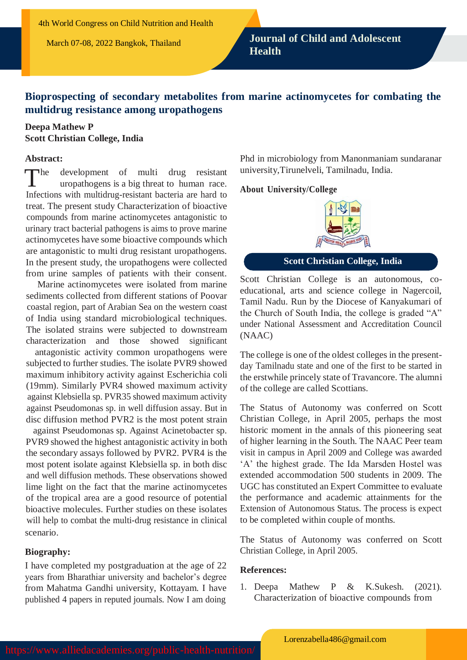# **Bioprospecting of secondary metabolites from marine actinomycetes for combating the multidrug resistance among uropathogens**

# **Deepa Mathew P Scott Christian College, India**

#### **Abstract:**

 $\blacksquare$ development of multi drug resistant uropathogens is a big threat to human race. Infections with multidrug-resistant bacteria are hard to treat. The present study Characterization of bioactive compounds from marine actinomycetes antagonistic to urinary tract bacterial pathogens is aims to prove marine actinomycetes have some bioactive compounds which are antagonistic to multi drug resistant uropathogens. In the present study, the uropathogens were collected from urine samples of patients with their consent.

Marine actinomycetes were isolated from marine sediments collected from different stations of Poovar coastal region, part of Arabian Sea on the western coast of India using standard microbiological techniques. The isolated strains were subjected to downstream characterization and those showed significant

antagonistic activity common uropathogens were subjected to further studies. The isolate PVR9 showed maximum inhibitory activity against Escherichia coli (19mm). Similarly PVR4 showed maximum activity against Klebsiella sp. PVR35 showed maximum activity against Pseudomonas sp. in well diffusion assay. But in disc diffusion method PVR2 is the most potent strain

against Pseudomonas sp. Against Acinetobacter sp. PVR9 showed the highest antagonistic activity in both the secondary assays followed by PVR2. PVR4 is the most potent isolate against Klebsiella sp. in both disc and well diffusion methods. These observations showed lime light on the fact that the marine actinomycetes of the tropical area are a good resource of potential bioactive molecules. Further studies on these isolates will help to combat the multi-drug resistance in clinical scenario.

### **Biography:**

I have completed my postgraduation at the age of 22 years from Bharathiar university and bachelor's degree from Mahatma Gandhi university, Kottayam. I have published 4 papers in reputed journals. Now I am doing

Phd in microbiology from Manonmaniam sundaranar university,Tirunelveli, Tamilnadu, India.

#### **About University/College**



# **Scott Christian College, India**

Scott Christian College is an autonomous, coeducational, arts and science college in Nagercoil, Tamil Nadu. Run by the Diocese of Kanyakumari of the Church of South India, the college is graded "A" under National Assessment and Accreditation Council (NAAC)

The college is one of the oldest colleges in the presentday Tamilnadu state and one of the first to be started in the erstwhile princely state of Travancore. The alumni of the college are called Scottians.

The Status of Autonomy was conferred on Scott Christian College, in April 2005, perhaps the most historic moment in the annals of this pioneering seat of higher learning in the South. The NAAC Peer team visit in campus in April 2009 and College was awarded 'A' the highest grade. The Ida Marsden Hostel was extended accommodation 500 students in 2009. The UGC has constituted an Expert Committee to evaluate the performance and academic attainments for the Extension of Autonomous Status. The process is expect to be completed within couple of months.

The Status of Autonomy was conferred on Scott Christian College, in April 2005.

### **References:**

1. Deepa Mathew P & K.Sukesh. (2021). Characterization of bioactive compounds from